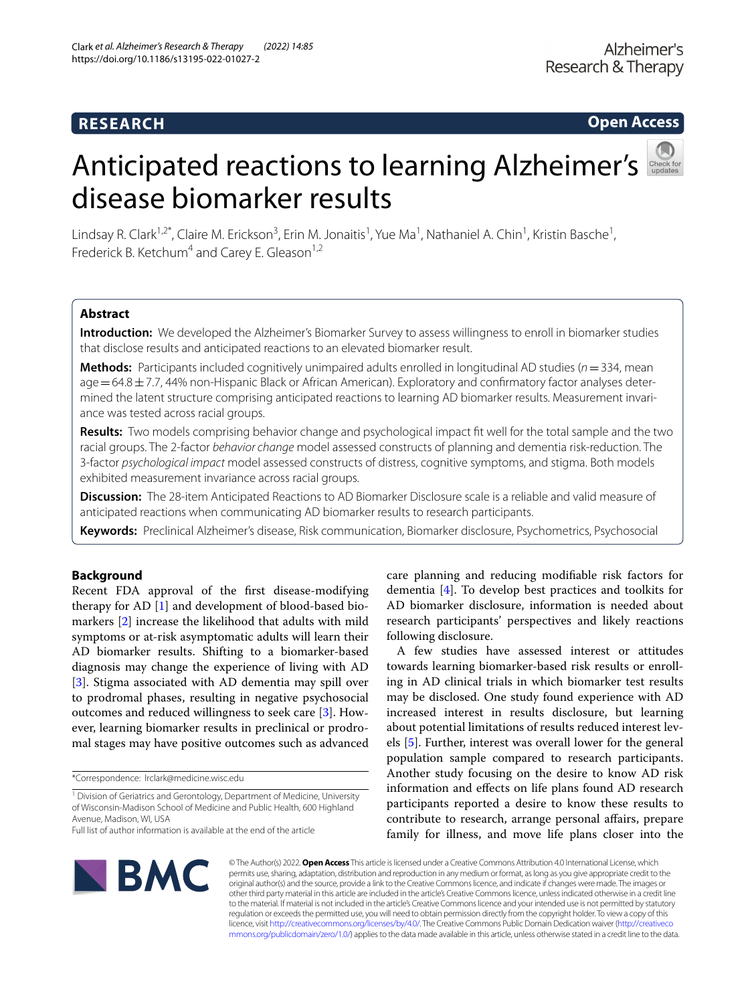### **RESEARCH**

**Open Access**

# Anticipatedreactions to learning Alzheimer's disease biomarker results



Lindsay R. Clark<sup>1,2\*</sup>, Claire M. Erickson<sup>3</sup>, Erin M. Jonaitis<sup>1</sup>, Yue Ma<sup>1</sup>, Nathaniel A. Chin<sup>1</sup>, Kristin Basche<sup>1</sup>, Frederick B. Ketchum<sup>4</sup> and Carey E. Gleason<sup>1,2</sup>

### **Abstract**

**Introduction:** We developed the Alzheimer's Biomarker Survey to assess willingness to enroll in biomarker studies that disclose results and anticipated reactions to an elevated biomarker result.

**Methods:** Participants included cognitively unimpaired adults enrolled in longitudinal AD studies (*n*=334, mean  $aqe = 64.8 \pm 7.7$ , 44% non-Hispanic Black or African American). Exploratory and confirmatory factor analyses determined the latent structure comprising anticipated reactions to learning AD biomarker results. Measurement invariance was tested across racial groups.

**Results:** Two models comprising behavior change and psychological impact ft well for the total sample and the two racial groups. The 2-factor *behavior change* model assessed constructs of planning and dementia risk-reduction. The 3-factor *psychological impact* model assessed constructs of distress, cognitive symptoms, and stigma. Both models exhibited measurement invariance across racial groups.

**Discussion:** The 28-item Anticipated Reactions to AD Biomarker Disclosure scale is a reliable and valid measure of anticipated reactions when communicating AD biomarker results to research participants.

**Keywords:** Preclinical Alzheimer's disease, Risk communication, Biomarker disclosure, Psychometrics, Psychosocial

### **Background**

Recent FDA approval of the frst disease-modifying therapy for AD [\[1\]](#page-12-0) and development of blood-based biomarkers [\[2\]](#page-12-1) increase the likelihood that adults with mild symptoms or at-risk asymptomatic adults will learn their AD biomarker results. Shifting to a biomarker-based diagnosis may change the experience of living with AD [[3\]](#page-12-2). Stigma associated with AD dementia may spill over to prodromal phases, resulting in negative psychosocial outcomes and reduced willingness to seek care [\[3](#page-12-2)]. However, learning biomarker results in preclinical or prodromal stages may have positive outcomes such as advanced

\*Correspondence: lrclark@medicine.wisc.edu

care planning and reducing modifable risk factors for dementia [[4\]](#page-12-3). To develop best practices and toolkits for AD biomarker disclosure, information is needed about research participants' perspectives and likely reactions following disclosure.

A few studies have assessed interest or attitudes towards learning biomarker-based risk results or enrolling in AD clinical trials in which biomarker test results may be disclosed. One study found experience with AD increased interest in results disclosure, but learning about potential limitations of results reduced interest levels [[5](#page-12-4)]. Further, interest was overall lower for the general population sample compared to research participants. Another study focusing on the desire to know AD risk information and efects on life plans found AD research participants reported a desire to know these results to contribute to research, arrange personal afairs, prepare family for illness, and move life plans closer into the



© The Author(s) 2022. **Open Access** This article is licensed under a Creative Commons Attribution 4.0 International License, which permits use, sharing, adaptation, distribution and reproduction in any medium or format, as long as you give appropriate credit to the original author(s) and the source, provide a link to the Creative Commons licence, and indicate if changes were made. The images or other third party material in this article are included in the article's Creative Commons licence, unless indicated otherwise in a credit line to the material. If material is not included in the article's Creative Commons licence and your intended use is not permitted by statutory regulation or exceeds the permitted use, you will need to obtain permission directly from the copyright holder. To view a copy of this licence, visit [http://creativecommons.org/licenses/by/4.0/.](http://creativecommons.org/licenses/by/4.0/) The Creative Commons Public Domain Dedication waiver ([http://creativeco](http://creativecommons.org/publicdomain/zero/1.0/) [mmons.org/publicdomain/zero/1.0/](http://creativecommons.org/publicdomain/zero/1.0/)) applies to the data made available in this article, unless otherwise stated in a credit line to the data.

<sup>&</sup>lt;sup>1</sup> Division of Geriatrics and Gerontology, Department of Medicine, University of Wisconsin-Madison School of Medicine and Public Health, 600 Highland Avenue, Madison, WI, USA

Full list of author information is available at the end of the article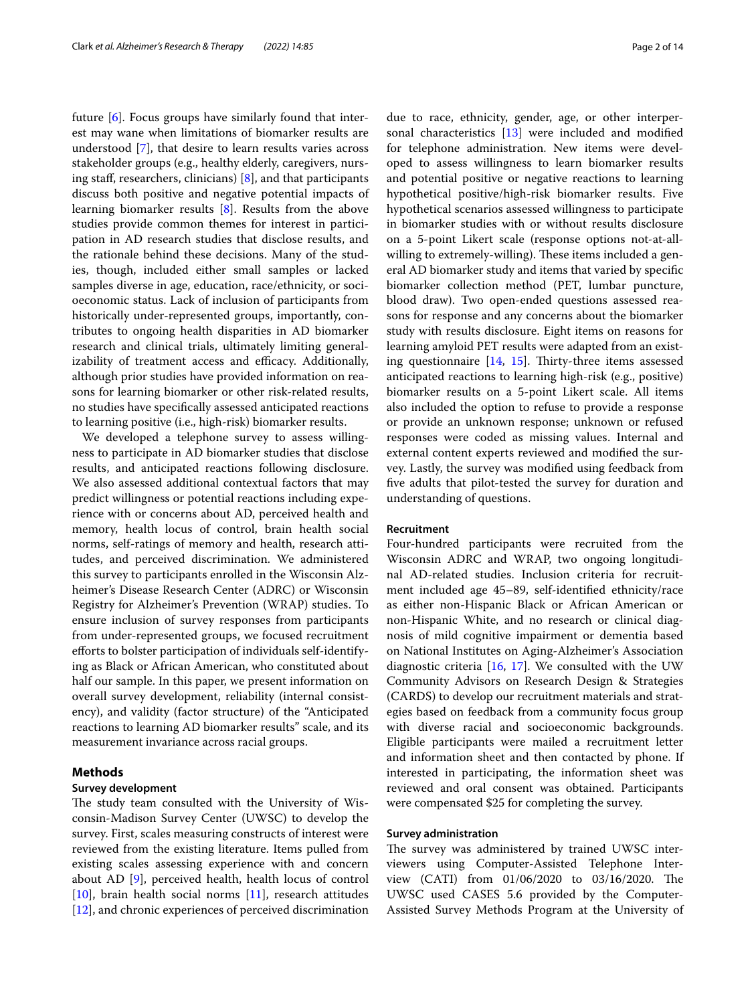future [\[6](#page-12-5)]. Focus groups have similarly found that interest may wane when limitations of biomarker results are understood [\[7](#page-12-6)], that desire to learn results varies across stakeholder groups (e.g., healthy elderly, caregivers, nursing staff, researchers, clinicians)  $[8]$  $[8]$ , and that participants discuss both positive and negative potential impacts of learning biomarker results [\[8](#page-12-7)]. Results from the above studies provide common themes for interest in participation in AD research studies that disclose results, and the rationale behind these decisions. Many of the studies, though, included either small samples or lacked samples diverse in age, education, race/ethnicity, or socioeconomic status. Lack of inclusion of participants from historically under-represented groups, importantly, contributes to ongoing health disparities in AD biomarker research and clinical trials, ultimately limiting generalizability of treatment access and efficacy. Additionally, although prior studies have provided information on reasons for learning biomarker or other risk-related results, no studies have specifcally assessed anticipated reactions to learning positive (i.e., high-risk) biomarker results.

We developed a telephone survey to assess willingness to participate in AD biomarker studies that disclose results, and anticipated reactions following disclosure. We also assessed additional contextual factors that may predict willingness or potential reactions including experience with or concerns about AD, perceived health and memory, health locus of control, brain health social norms, self-ratings of memory and health, research attitudes, and perceived discrimination. We administered this survey to participants enrolled in the Wisconsin Alzheimer's Disease Research Center (ADRC) or Wisconsin Registry for Alzheimer's Prevention (WRAP) studies. To ensure inclusion of survey responses from participants from under-represented groups, we focused recruitment eforts to bolster participation of individuals self-identifying as Black or African American, who constituted about half our sample. In this paper, we present information on overall survey development, reliability (internal consistency), and validity (factor structure) of the "Anticipated reactions to learning AD biomarker results" scale, and its measurement invariance across racial groups.

### **Methods**

### **Survey development**

The study team consulted with the University of Wisconsin-Madison Survey Center (UWSC) to develop the survey. First, scales measuring constructs of interest were reviewed from the existing literature. Items pulled from existing scales assessing experience with and concern about AD [\[9](#page-12-8)], perceived health, health locus of control [[10\]](#page-12-9), brain health social norms [[11](#page-12-10)], research attitudes [[12\]](#page-12-11), and chronic experiences of perceived discrimination due to race, ethnicity, gender, age, or other interpersonal characteristics [[13](#page-12-12)] were included and modifed for telephone administration. New items were developed to assess willingness to learn biomarker results and potential positive or negative reactions to learning hypothetical positive/high-risk biomarker results. Five hypothetical scenarios assessed willingness to participate in biomarker studies with or without results disclosure on a 5-point Likert scale (response options not-at-allwilling to extremely-willing). These items included a general AD biomarker study and items that varied by specifc biomarker collection method (PET, lumbar puncture, blood draw). Two open-ended questions assessed reasons for response and any concerns about the biomarker study with results disclosure. Eight items on reasons for learning amyloid PET results were adapted from an existing questionnaire  $[14, 15]$  $[14, 15]$  $[14, 15]$  $[14, 15]$  $[14, 15]$ . Thirty-three items assessed anticipated reactions to learning high-risk (e.g., positive) biomarker results on a 5-point Likert scale. All items also included the option to refuse to provide a response or provide an unknown response; unknown or refused responses were coded as missing values. Internal and external content experts reviewed and modifed the survey. Lastly, the survey was modifed using feedback from fve adults that pilot-tested the survey for duration and understanding of questions.

### **Recruitment**

Four-hundred participants were recruited from the Wisconsin ADRC and WRAP, two ongoing longitudinal AD-related studies. Inclusion criteria for recruitment included age 45–89, self-identifed ethnicity/race as either non-Hispanic Black or African American or non-Hispanic White, and no research or clinical diagnosis of mild cognitive impairment or dementia based on National Institutes on Aging-Alzheimer's Association diagnostic criteria  $[16, 17]$  $[16, 17]$  $[16, 17]$  $[16, 17]$ . We consulted with the UW Community Advisors on Research Design & Strategies (CARDS) to develop our recruitment materials and strategies based on feedback from a community focus group with diverse racial and socioeconomic backgrounds. Eligible participants were mailed a recruitment letter and information sheet and then contacted by phone. If interested in participating, the information sheet was reviewed and oral consent was obtained. Participants were compensated \$25 for completing the survey.

### **Survey administration**

The survey was administered by trained UWSC interviewers using Computer-Assisted Telephone Interview (CATI) from 01/06/2020 to 03/16/2020. The UWSC used CASES 5.6 provided by the Computer-Assisted Survey Methods Program at the University of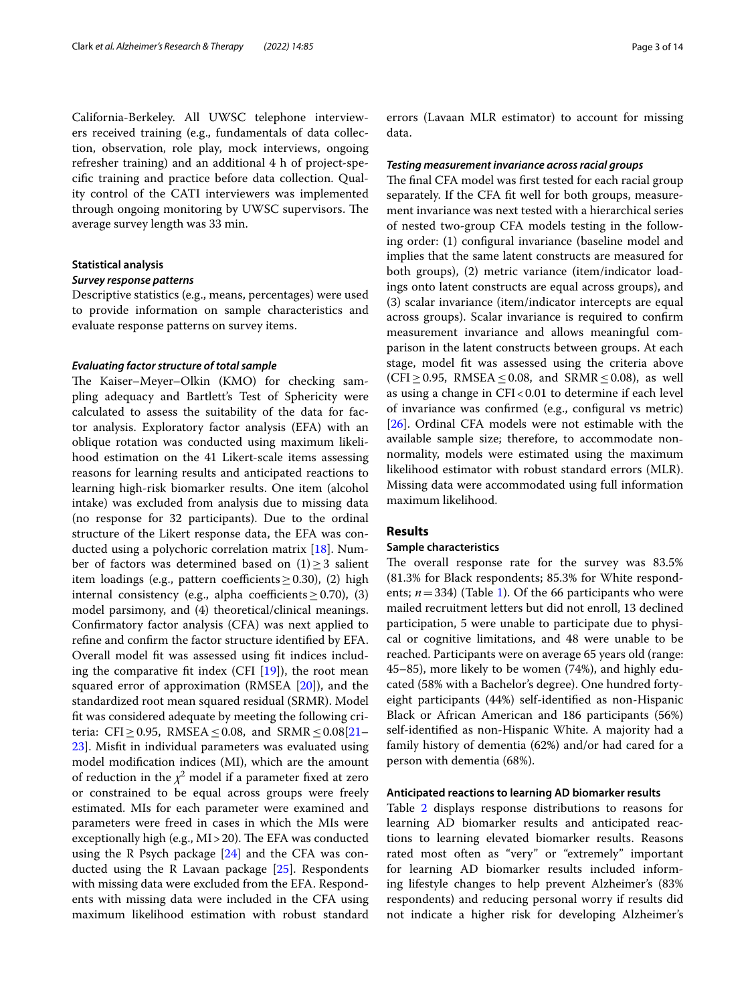California-Berkeley. All UWSC telephone interviewers received training (e.g., fundamentals of data collection, observation, role play, mock interviews, ongoing refresher training) and an additional 4 h of project-specifc training and practice before data collection. Quality control of the CATI interviewers was implemented through ongoing monitoring by UWSC supervisors. The average survey length was 33 min.

### **Statistical analysis**

### *Survey response patterns*

Descriptive statistics (e.g., means, percentages) were used to provide information on sample characteristics and evaluate response patterns on survey items.

### *Evaluating factor structure of total sample*

The Kaiser–Meyer–Olkin (KMO) for checking sampling adequacy and Bartlett's Test of Sphericity were calculated to assess the suitability of the data for factor analysis. Exploratory factor analysis (EFA) with an oblique rotation was conducted using maximum likelihood estimation on the 41 Likert-scale items assessing reasons for learning results and anticipated reactions to learning high-risk biomarker results. One item (alcohol intake) was excluded from analysis due to missing data (no response for 32 participants). Due to the ordinal structure of the Likert response data, the EFA was conducted using a polychoric correlation matrix [[18\]](#page-13-0). Number of factors was determined based on  $(1) \geq 3$  salient item loadings (e.g., pattern coefficients  $\geq$  0.30), (2) high internal consistency (e.g., alpha coefficients  $\geq$  0.70), (3) model parsimony, and (4) theoretical/clinical meanings. Confrmatory factor analysis (CFA) was next applied to refne and confrm the factor structure identifed by EFA. Overall model ft was assessed using ft indices including the comparative fit index (CFI  $[19]$  $[19]$ ), the root mean squared error of approximation (RMSEA [\[20](#page-13-2)]), and the standardized root mean squared residual (SRMR). Model ft was considered adequate by meeting the following cri-teria: CFI≥0.95, RMSEA ≤0.08, and SRMR ≤0.08[[21–](#page-13-3) [23\]](#page-13-4). Misft in individual parameters was evaluated using model modifcation indices (MI), which are the amount of reduction in the  $\chi^2$  model if a parameter fixed at zero or constrained to be equal across groups were freely estimated. MIs for each parameter were examined and parameters were freed in cases in which the MIs were exceptionally high (e.g.,  $MI > 20$ ). The EFA was conducted using the R Psych package  $[24]$  and the CFA was conducted using the R Lavaan package  $[25]$ . Respondents with missing data were excluded from the EFA. Respondents with missing data were included in the CFA using maximum likelihood estimation with robust standard

errors (Lavaan MLR estimator) to account for missing data.

### *Testing measurement invariance across racial groups*

The final CFA model was first tested for each racial group separately. If the CFA ft well for both groups, measurement invariance was next tested with a hierarchical series of nested two-group CFA models testing in the following order: (1) confgural invariance (baseline model and implies that the same latent constructs are measured for both groups), (2) metric variance (item/indicator loadings onto latent constructs are equal across groups), and (3) scalar invariance (item/indicator intercepts are equal across groups). Scalar invariance is required to confrm measurement invariance and allows meaningful comparison in the latent constructs between groups. At each stage, model ft was assessed using the criteria above (CFI≥0.95, RMSEA ≤0.08, and SRMR ≤0.08), as well as using a change in CFI<0.01 to determine if each level of invariance was confrmed (e.g., confgural vs metric) [[26\]](#page-13-7). Ordinal CFA models were not estimable with the available sample size; therefore, to accommodate nonnormality, models were estimated using the maximum likelihood estimator with robust standard errors (MLR). Missing data were accommodated using full information maximum likelihood.

### **Results**

### **Sample characteristics**

The overall response rate for the survey was 83.5% (81.3% for Black respondents; 85.3% for White respondents;  $n=334$ ) (Table [1\)](#page-3-0). Of the 66 participants who were mailed recruitment letters but did not enroll, 13 declined participation, 5 were unable to participate due to physical or cognitive limitations, and 48 were unable to be reached. Participants were on average 65 years old (range: 45–85), more likely to be women (74%), and highly educated (58% with a Bachelor's degree). One hundred fortyeight participants (44%) self-identifed as non-Hispanic Black or African American and 186 participants (56%) self-identifed as non-Hispanic White. A majority had a family history of dementia (62%) and/or had cared for a person with dementia (68%).

### **Anticipated reactions to learning AD biomarker results**

Table [2](#page-4-0) displays response distributions to reasons for learning AD biomarker results and anticipated reactions to learning elevated biomarker results. Reasons rated most often as "very" or "extremely" important for learning AD biomarker results included informing lifestyle changes to help prevent Alzheimer's (83% respondents) and reducing personal worry if results did not indicate a higher risk for developing Alzheimer's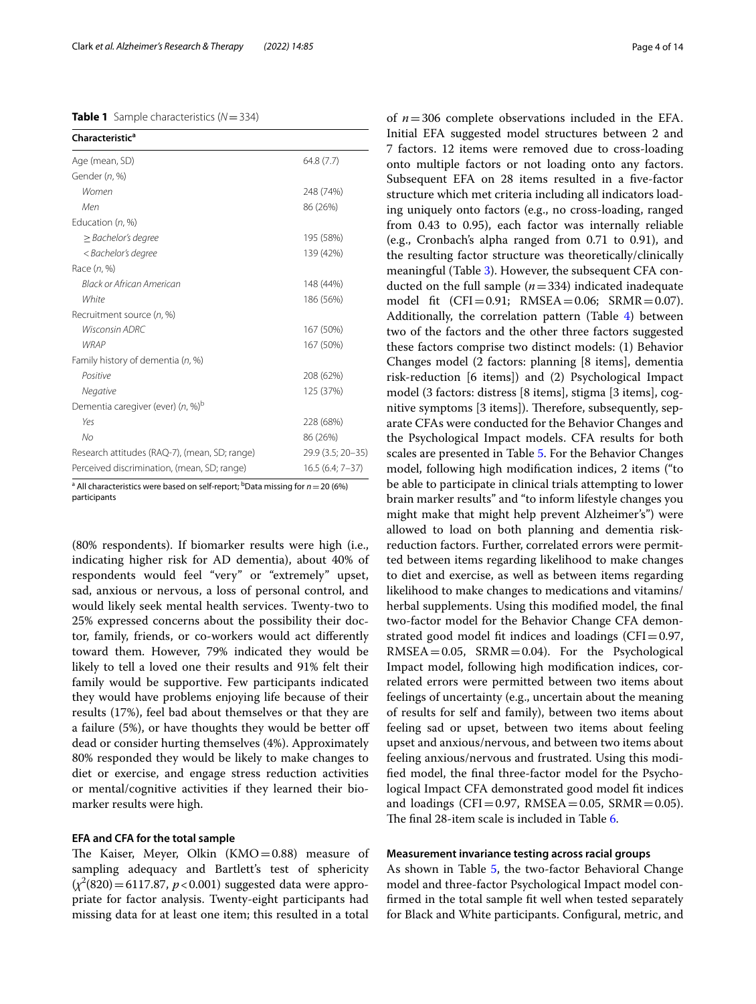### <span id="page-3-0"></span>**Table 1** Sample characteristics (*N*=334)

| <b>Characteristic<sup>a</sup></b>             |                   |
|-----------------------------------------------|-------------------|
| Age (mean, SD)                                | 64.8(7.7)         |
| Gender (n, %)                                 |                   |
| Women                                         | 248 (74%)         |
| Men                                           | 86 (26%)          |
| Education (n, %)                              |                   |
| $\geq$ Bachelor's degree                      | 195 (58%)         |
| < Bachelor's degree                           | 139 (42%)         |
| Race $(n, %)$                                 |                   |
| Black or African American                     | 148 (44%)         |
| White                                         | 186 (56%)         |
| Recruitment source (n, %)                     |                   |
| Wisconsin ADRC                                | 167 (50%)         |
| <b>WRAP</b>                                   | 167 (50%)         |
| Family history of dementia (n, %)             |                   |
| Positive                                      | 208 (62%)         |
| Negative                                      | 125 (37%)         |
| Dementia caregiver (ever) (n, %) <sup>b</sup> |                   |
| Yes                                           | 228 (68%)         |
| No                                            | 86 (26%)          |
| Research attitudes (RAQ-7), (mean, SD; range) | 29.9 (3.5; 20-35) |
| Perceived discrimination, (mean, SD; range)   | $16.5(6.4; 7-37)$ |

<sup>a</sup> All characteristics were based on self-report; <sup>b</sup>Data missing for  $n = 20$  (6%) participants

(80% respondents). If biomarker results were high (i.e., indicating higher risk for AD dementia), about 40% of respondents would feel "very" or "extremely" upset, sad, anxious or nervous, a loss of personal control, and would likely seek mental health services. Twenty-two to 25% expressed concerns about the possibility their doctor, family, friends, or co-workers would act diferently toward them. However, 79% indicated they would be likely to tell a loved one their results and 91% felt their family would be supportive. Few participants indicated they would have problems enjoying life because of their results (17%), feel bad about themselves or that they are a failure (5%), or have thoughts they would be better of dead or consider hurting themselves (4%). Approximately 80% responded they would be likely to make changes to diet or exercise, and engage stress reduction activities or mental/cognitive activities if they learned their biomarker results were high.

### **EFA and CFA for the total sample**

The Kaiser, Meyer, Olkin  $(KMO=0.88)$  measure of sampling adequacy and Bartlett's test of sphericity (*χ*2 (820)=6117.87, *p*<0.001) suggested data were appropriate for factor analysis. Twenty-eight participants had missing data for at least one item; this resulted in a total

of *n*=306 complete observations included in the EFA. Initial EFA suggested model structures between 2 and 7 factors. 12 items were removed due to cross-loading onto multiple factors or not loading onto any factors. Subsequent EFA on 28 items resulted in a fve-factor structure which met criteria including all indicators loading uniquely onto factors (e.g., no cross-loading, ranged from 0.43 to 0.95), each factor was internally reliable (e.g., Cronbach's alpha ranged from 0.71 to 0.91), and the resulting factor structure was theoretically/clinically meaningful (Table [3](#page-6-0)). However, the subsequent CFA conducted on the full sample (*n*=334) indicated inadequate model fit  $(CFI = 0.91; RMSEA = 0.06; SRMR = 0.07)$ . Additionally, the correlation pattern (Table [4\)](#page-7-0) between two of the factors and the other three factors suggested these factors comprise two distinct models: (1) Behavior Changes model (2 factors: planning [8 items], dementia risk-reduction [6 items]) and (2) Psychological Impact model (3 factors: distress [8 items], stigma [3 items], cognitive symptoms [3 items]). Therefore, subsequently, separate CFAs were conducted for the Behavior Changes and the Psychological Impact models. CFA results for both scales are presented in Table [5](#page-8-0). For the Behavior Changes model, following high modifcation indices, 2 items ("to be able to participate in clinical trials attempting to lower brain marker results" and "to inform lifestyle changes you might make that might help prevent Alzheimer's") were allowed to load on both planning and dementia riskreduction factors. Further, correlated errors were permitted between items regarding likelihood to make changes to diet and exercise, as well as between items regarding likelihood to make changes to medications and vitamins/ herbal supplements. Using this modifed model, the fnal two-factor model for the Behavior Change CFA demonstrated good model fit indices and loadings ( $CFI = 0.97$ ,  $RMSEA = 0.05$ ,  $SRMR = 0.04$ ). For the Psychological Impact model, following high modifcation indices, correlated errors were permitted between two items about feelings of uncertainty (e.g., uncertain about the meaning of results for self and family), between two items about feeling sad or upset, between two items about feeling upset and anxious/nervous, and between two items about feeling anxious/nervous and frustrated. Using this modifed model, the fnal three-factor model for the Psychological Impact CFA demonstrated good model ft indices and loadings (CFI=0.97, RMSEA=0.05, SRMR=0.05). The final 28-item scale is included in Table [6](#page-9-0).

### **Measurement invariance testing across racial groups**

As shown in Table [5,](#page-8-0) the two-factor Behavioral Change model and three-factor Psychological Impact model confrmed in the total sample ft well when tested separately for Black and White participants. Confgural, metric, and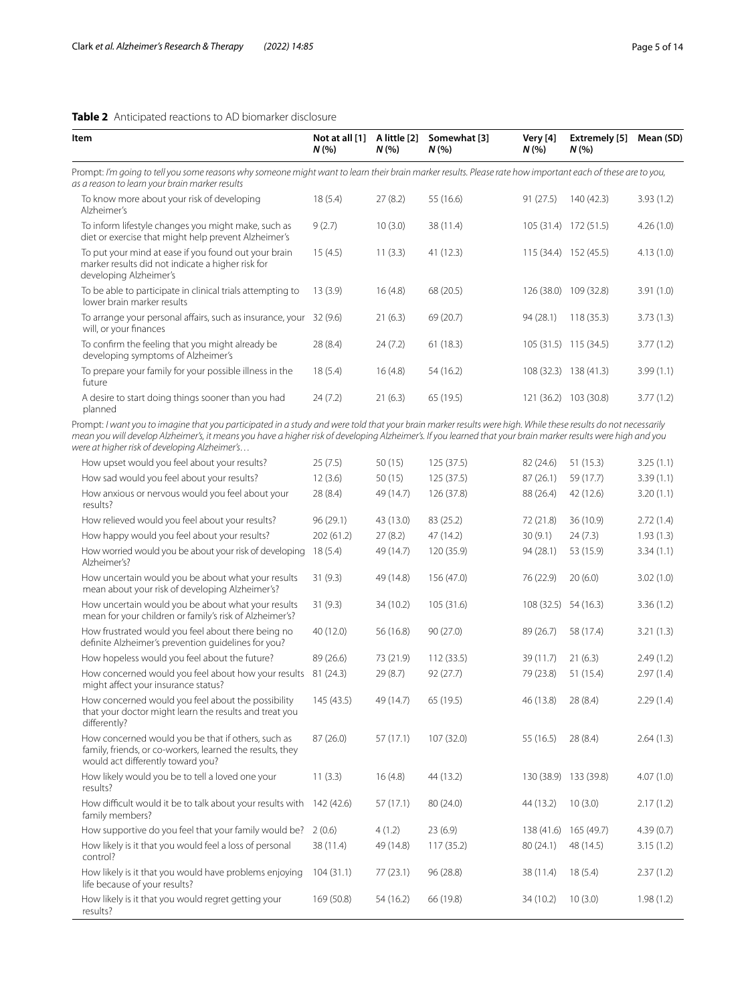### <span id="page-4-0"></span>**Table 2** Anticipated reactions to AD biomarker disclosure

| Item                                                                                                                                                                                                         | Not at all [1]<br>N(% | A little [2]<br>N(% | Somewhat [3]<br>N(% | Very [4]<br>N(% | Extremely [5]<br>N(%  | Mean (SD) |
|--------------------------------------------------------------------------------------------------------------------------------------------------------------------------------------------------------------|-----------------------|---------------------|---------------------|-----------------|-----------------------|-----------|
| Prompt: I'm going to tell you some reasons why someone might want to learn their brain marker results. Please rate how important each of these are to you,<br>as a reason to learn your brain marker results |                       |                     |                     |                 |                       |           |
| To know more about your risk of developing<br>Alzheimer's                                                                                                                                                    | 18(5.4)               | 27(8.2)             | 55 (16.6)           | 91(27.5)        | 140 (42.3)            | 3.93(1.2) |
| To inform lifestyle changes you might make, such as<br>diet or exercise that might help prevent Alzheimer's                                                                                                  | 9(2.7)                | 10(3.0)             | 38 (11.4)           | 105(31.4)       | 172 (51.5)            | 4.26(1.0) |
| To put your mind at ease if you found out your brain<br>marker results did not indicate a higher risk for<br>developing Alzheimer's                                                                          | 15(4.5)               | 11(3.3)             | 41 (12.3)           |                 | 115 (34.4) 152 (45.5) | 4.13(1.0) |
| To be able to participate in clinical trials attempting to<br>lower brain marker results                                                                                                                     | 13(3.9)               | 16(4.8)             | 68 (20.5)           |                 | 126 (38.0) 109 (32.8) | 3.91(1.0) |
| To arrange your personal affairs, such as insurance, your<br>will, or your finances                                                                                                                          | 32(9.6)               | 21(6.3)             | 69 (20.7)           | 94(28.1)        | 118(35.3)             | 3.73(1.3) |
| To confirm the feeling that you might already be<br>developing symptoms of Alzheimer's                                                                                                                       | 28 (8.4)              | 24(7.2)             | 61(18.3)            |                 | 105 (31.5) 115 (34.5) | 3.77(1.2) |
| To prepare your family for your possible illness in the<br>future                                                                                                                                            | 18(5.4)               | 16(4.8)             | 54 (16.2)           |                 | 108 (32.3) 138 (41.3) | 3.99(1.1) |
| A desire to start doing things sooner than you had<br>planned                                                                                                                                                | 24(7.2)               | 21(6.3)             | 65 (19.5)           |                 | 121 (36.2) 103 (30.8) | 3.77(1.2) |
| Prompt: I want you to imagine that you participated in a study and were told that your brain marker results were high. While these results do not pecessarily                                                |                       |                     |                     |                 |                       |           |

Prompt: *I want you to imagine that you participated in a study and were told that your brain marker results were high. While these results do not necessarily mean you will develop Alzheimer's, it means you have a higher risk of developing Alzheimer's. If you learned that your brain marker results were high and you were at higher risk of developing Alzheimer's…*

| How upset would you feel about your results?                                                                                                         | 25(7.5)    | 50(15)    | 125 (37.5) | 82 (24.6)            | 51(15.3)   | 3.25(1.1) |
|------------------------------------------------------------------------------------------------------------------------------------------------------|------------|-----------|------------|----------------------|------------|-----------|
| How sad would you feel about your results?                                                                                                           | 12(3.6)    | 50(15)    | 125 (37.5) | 87(26.1)             | 59 (17.7)  | 3.39(1.1) |
| How anxious or nervous would you feel about your<br>results?                                                                                         | 28 (8.4)   | 49 (14.7) | 126 (37.8) | 88 (26.4)            | 42 (12.6)  | 3.20(1.1) |
| How relieved would you feel about your results?                                                                                                      | 96(29.1)   | 43 (13.0) | 83 (25.2)  | 72 (21.8)            | 36 (10.9)  | 2.72(1.4) |
| How happy would you feel about your results?                                                                                                         | 202 (61.2) | 27(8.2)   | 47 (14.2)  | 30(9.1)              | 24(7.3)    | 1.93(1.3) |
| How worried would you be about your risk of developing<br>Alzheimer's?                                                                               | 18(5.4)    | 49 (14.7) | 120 (35.9) | 94 (28.1)            | 53 (15.9)  | 3.34(1.1) |
| How uncertain would you be about what your results<br>mean about your risk of developing Alzheimer's?                                                | 31(9.3)    | 49 (14.8) | 156 (47.0) | 76 (22.9)            | 20(6.0)    | 3.02(1.0) |
| How uncertain would you be about what your results<br>mean for your children or family's risk of Alzheimer's?                                        | 31(9.3)    | 34 (10.2) | 105 (31.6) | 108 (32.5) 54 (16.3) |            | 3.36(1.2) |
| How frustrated would you feel about there being no<br>definite Alzheimer's prevention quidelines for you?                                            | 40 (12.0)  | 56 (16.8) | 90(27.0)   | 89 (26.7)            | 58 (17.4)  | 3.21(1.3) |
| How hopeless would you feel about the future?                                                                                                        | 89 (26.6)  | 73 (21.9) | 112(33.5)  | 39 (11.7)            | 21(6.3)    | 2.49(1.2) |
| How concerned would you feel about how your results<br>might affect your insurance status?                                                           | 81(24.3)   | 29 (8.7)  | 92(27.7)   | 79 (23.8)            | 51(15.4)   | 2.97(1.4) |
| How concerned would you feel about the possibility<br>that your doctor might learn the results and treat you<br>differently?                         | 145 (43.5) | 49 (14.7) | 65 (19.5)  | 46 (13.8)            | 28(8.4)    | 2.29(1.4) |
| How concerned would you be that if others, such as<br>family, friends, or co-workers, learned the results, they<br>would act differently toward you? | 87 (26.0)  | 57(17.1)  | 107 (32.0) | 55 (16.5)            | 28 (8.4)   | 2.64(1.3) |
| How likely would you be to tell a loved one your<br>results?                                                                                         | 11(3.3)    | 16(4.8)   | 44 (13.2)  | 130 (38.9)           | 133 (39.8) | 4.07(1.0) |
| How difficult would it be to talk about your results with<br>family members?                                                                         | 142 (42.6) | 57(17.1)  | 80 (24.0)  | 44 (13.2)            | 10(3.0)    | 2.17(1.2) |
| How supportive do you feel that your family would be?                                                                                                | 2(0.6)     | 4(1.2)    | 23(6.9)    | 138(41.6)            | 165 (49.7) | 4.39(0.7) |
| How likely is it that you would feel a loss of personal<br>control?                                                                                  | 38 (11.4)  | 49 (14.8) | 117(35.2)  | 80 (24.1)            | 48 (14.5)  | 3.15(1.2) |
| How likely is it that you would have problems enjoying<br>life because of your results?                                                              | 104(31.1)  | 77(23.1)  | 96 (28.8)  | 38 (11.4)            | 18(5.4)    | 2.37(1.2) |
| How likely is it that you would regret getting your<br>results?                                                                                      | 169 (50.8) | 54 (16.2) | 66 (19.8)  | 34 (10.2)            | 10(3.0)    | 1.98(1.2) |
|                                                                                                                                                      |            |           |            |                      |            |           |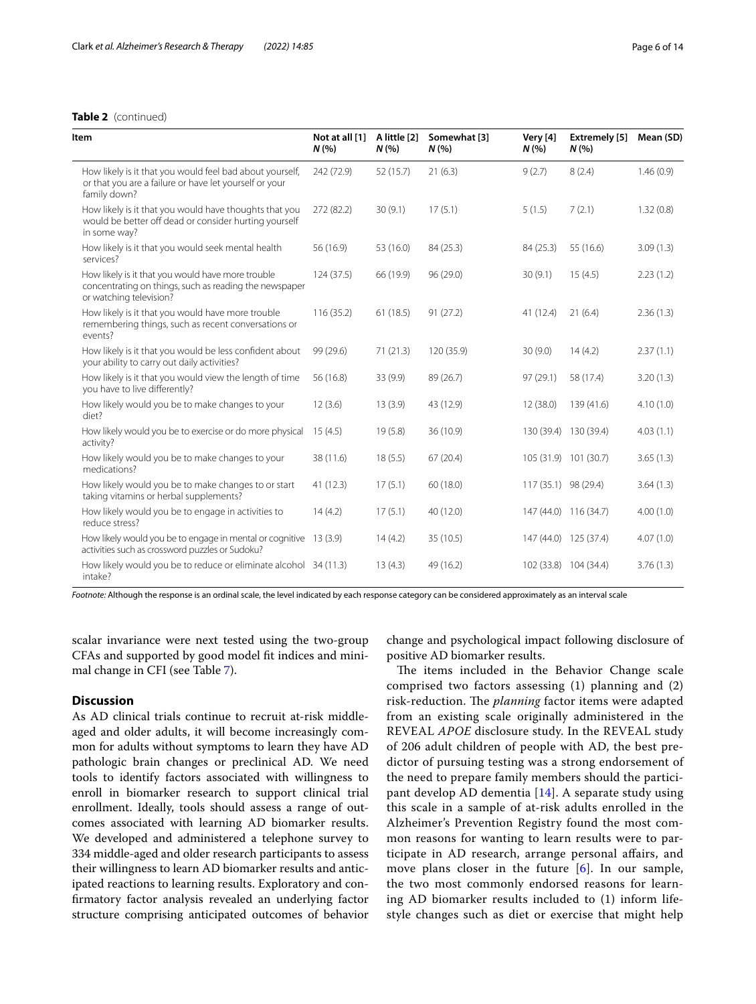### **Table 2** (continued)

| <b>Item</b>                                                                                                                            | Not at all [1]<br>N(% | A little [2]<br>N(% | Somewhat [3]<br>N(% | Very [4]<br>N(%      | <b>Extremely</b> [5]<br>N(% | Mean (SD) |
|----------------------------------------------------------------------------------------------------------------------------------------|-----------------------|---------------------|---------------------|----------------------|-----------------------------|-----------|
| How likely is it that you would feel bad about yourself,<br>or that you are a failure or have let yourself or your<br>family down?     | 242 (72.9)            | 52 (15.7)           | 21(6.3)             | 9(2.7)               | 8(2.4)                      | 1.46(0.9) |
| How likely is it that you would have thoughts that you<br>would be better off dead or consider hurting yourself<br>in some way?        | 272 (82.2)            | 30(9.1)             | 17(5.1)             | 5(1.5)               | 7(2.1)                      | 1.32(0.8) |
| How likely is it that you would seek mental health<br>services?                                                                        | 56 (16.9)             | 53 (16.0)           | 84 (25.3)           | 84 (25.3)            | 55 (16.6)                   | 3.09(1.3) |
| How likely is it that you would have more trouble<br>concentrating on things, such as reading the newspaper<br>or watching television? | 124(37.5)             | 66 (19.9)           | 96 (29.0)           | 30(9.1)              | 15(4.5)                     | 2.23(1.2) |
| How likely is it that you would have more trouble<br>remembering things, such as recent conversations or<br>events?                    | 116(35.2)             | 61(18.5)            | 91(27.2)            | 41 (12.4)            | 21(6.4)                     | 2.36(1.3) |
| How likely is it that you would be less confident about<br>your ability to carry out daily activities?                                 | 99 (29.6)             | 71(21.3)            | 120 (35.9)          | 30(9.0)              | 14(4.2)                     | 2.37(1.1) |
| How likely is it that you would view the length of time<br>you have to live differently?                                               | 56 (16.8)             | 33 (9.9)            | 89 (26.7)           | 97 (29.1)            | 58 (17.4)                   | 3.20(1.3) |
| How likely would you be to make changes to your<br>diet?                                                                               | 12(3.6)               | 13(3.9)             | 43 (12.9)           | 12 (38.0)            | 139 (41.6)                  | 4.10(1.0) |
| How likely would you be to exercise or do more physical 15 (4.5)<br>activity?                                                          |                       | 19(5.8)             | 36 (10.9)           |                      | 130 (39.4) 130 (39.4)       | 4.03(1.1) |
| How likely would you be to make changes to your<br>medications?                                                                        | 38 (11.6)             | 18(5.5)             | 67(20.4)            |                      | 105 (31.9) 101 (30.7)       | 3.65(1.3) |
| How likely would you be to make changes to or start<br>taking vitamins or herbal supplements?                                          | 41 (12.3)             | 17(5.1)             | 60 (18.0)           | 117 (35.1) 98 (29.4) |                             | 3.64(1.3) |
| How likely would you be to engage in activities to<br>reduce stress?                                                                   | 14(4.2)               | 17(5.1)             | 40 (12.0)           |                      | 147 (44.0) 116 (34.7)       | 4.00(1.0) |
| How likely would you be to engage in mental or cognitive 13 (3.9)<br>activities such as crossword puzzles or Sudoku?                   |                       | 14(4.2)             | 35(10.5)            |                      | 147 (44.0) 125 (37.4)       | 4.07(1.0) |
| How likely would you be to reduce or eliminate alcohol 34 (11.3)<br>intake?                                                            |                       | 13(4.3)             | 49 (16.2)           |                      | 102 (33.8) 104 (34.4)       | 3.76(1.3) |

*Footnote:* Although the response is an ordinal scale, the level indicated by each response category can be considered approximately as an interval scale

scalar invariance were next tested using the two-group CFAs and supported by good model ft indices and minimal change in CFI (see Table [7](#page-11-0)).

### **Discussion**

As AD clinical trials continue to recruit at-risk middleaged and older adults, it will become increasingly common for adults without symptoms to learn they have AD pathologic brain changes or preclinical AD. We need tools to identify factors associated with willingness to enroll in biomarker research to support clinical trial enrollment. Ideally, tools should assess a range of outcomes associated with learning AD biomarker results. We developed and administered a telephone survey to 334 middle-aged and older research participants to assess their willingness to learn AD biomarker results and anticipated reactions to learning results. Exploratory and confrmatory factor analysis revealed an underlying factor structure comprising anticipated outcomes of behavior change and psychological impact following disclosure of positive AD biomarker results.

The items included in the Behavior Change scale comprised two factors assessing (1) planning and (2) risk-reduction. The *planning* factor items were adapted from an existing scale originally administered in the REVEAL *APOE* disclosure study. In the REVEAL study of 206 adult children of people with AD, the best predictor of pursuing testing was a strong endorsement of the need to prepare family members should the participant develop AD dementia [\[14\]](#page-12-13). A separate study using this scale in a sample of at-risk adults enrolled in the Alzheimer's Prevention Registry found the most common reasons for wanting to learn results were to participate in AD research, arrange personal afairs, and move plans closer in the future [[6](#page-12-5)]. In our sample, the two most commonly endorsed reasons for learning AD biomarker results included to (1) inform lifestyle changes such as diet or exercise that might help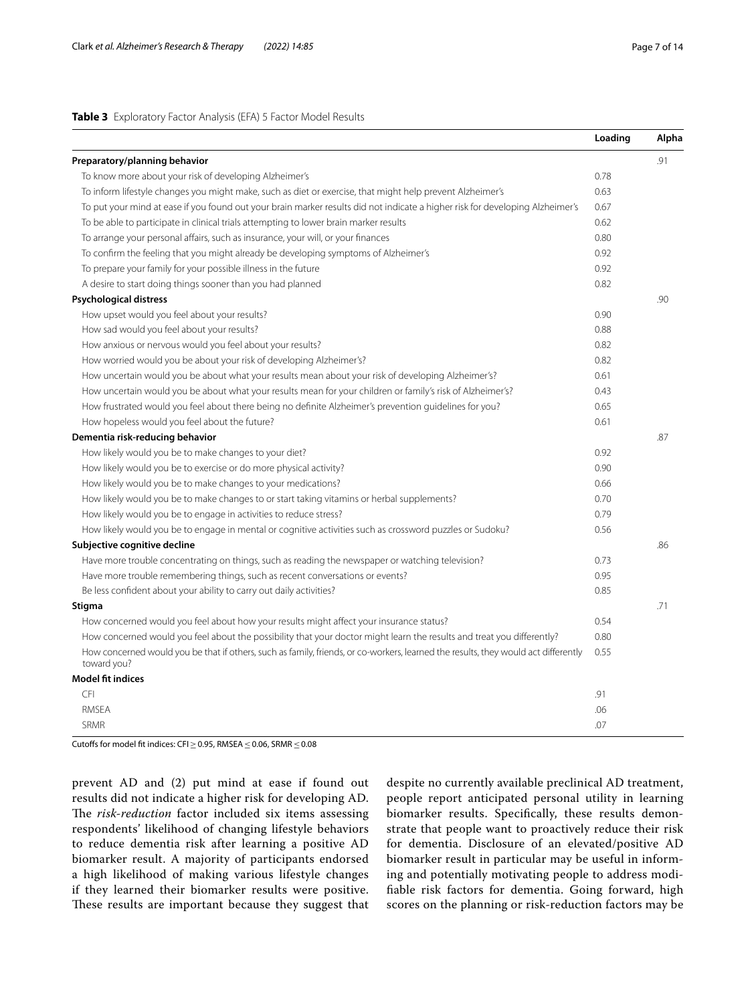### <span id="page-6-0"></span>**Table 3** Exploratory Factor Analysis (EFA) 5 Factor Model Results

|                                                                                                                                                   | Loading | Alpha |
|---------------------------------------------------------------------------------------------------------------------------------------------------|---------|-------|
| Preparatory/planning behavior                                                                                                                     |         | .91   |
| To know more about your risk of developing Alzheimer's                                                                                            | 0.78    |       |
| To inform lifestyle changes you might make, such as diet or exercise, that might help prevent Alzheimer's                                         | 0.63    |       |
| To put your mind at ease if you found out your brain marker results did not indicate a higher risk for developing Alzheimer's                     | 0.67    |       |
| To be able to participate in clinical trials attempting to lower brain marker results                                                             | 0.62    |       |
| To arrange your personal affairs, such as insurance, your will, or your finances                                                                  | 0.80    |       |
| To confirm the feeling that you might already be developing symptoms of Alzheimer's                                                               | 0.92    |       |
| To prepare your family for your possible illness in the future                                                                                    | 0.92    |       |
| A desire to start doing things sooner than you had planned                                                                                        | 0.82    |       |
| <b>Psychological distress</b>                                                                                                                     |         | .90   |
| How upset would you feel about your results?                                                                                                      | 0.90    |       |
| How sad would you feel about your results?                                                                                                        | 0.88    |       |
| How anxious or nervous would you feel about your results?                                                                                         | 0.82    |       |
| How worried would you be about your risk of developing Alzheimer's?                                                                               | 0.82    |       |
| How uncertain would you be about what your results mean about your risk of developing Alzheimer's?                                                | 0.61    |       |
| How uncertain would you be about what your results mean for your children or family's risk of Alzheimer's?                                        | 0.43    |       |
| How frustrated would you feel about there being no definite Alzheimer's prevention guidelines for you?                                            | 0.65    |       |
| How hopeless would you feel about the future?                                                                                                     | 0.61    |       |
| Dementia risk-reducing behavior                                                                                                                   |         | .87   |
| How likely would you be to make changes to your diet?                                                                                             | 0.92    |       |
| How likely would you be to exercise or do more physical activity?                                                                                 | 0.90    |       |
| How likely would you be to make changes to your medications?                                                                                      | 0.66    |       |
| How likely would you be to make changes to or start taking vitamins or herbal supplements?                                                        | 0.70    |       |
| How likely would you be to engage in activities to reduce stress?                                                                                 | 0.79    |       |
| How likely would you be to engage in mental or cognitive activities such as crossword puzzles or Sudoku?                                          | 0.56    |       |
| Subjective cognitive decline                                                                                                                      |         | .86   |
| Have more trouble concentrating on things, such as reading the newspaper or watching television?                                                  | 0.73    |       |
| Have more trouble remembering things, such as recent conversations or events?                                                                     | 0.95    |       |
| Be less confident about your ability to carry out daily activities?                                                                               | 0.85    |       |
| <b>Stigma</b>                                                                                                                                     |         | .71   |
| How concerned would you feel about how your results might affect your insurance status?                                                           | 0.54    |       |
| How concerned would you feel about the possibility that your doctor might learn the results and treat you differently?                            | 0.80    |       |
| How concerned would you be that if others, such as family, friends, or co-workers, learned the results, they would act differently<br>toward you? | 0.55    |       |
| <b>Model fit indices</b>                                                                                                                          |         |       |
| <b>CFI</b>                                                                                                                                        | .91     |       |
| <b>RMSEA</b>                                                                                                                                      | .06     |       |
| <b>SRMR</b>                                                                                                                                       | .07     |       |

Cutofs for model ft indices: CFI≥0.95, RMSEA≤0.06, SRMR≤0.08

prevent AD and (2) put mind at ease if found out results did not indicate a higher risk for developing AD. The risk-reduction factor included six items assessing respondents' likelihood of changing lifestyle behaviors to reduce dementia risk after learning a positive AD biomarker result. A majority of participants endorsed a high likelihood of making various lifestyle changes if they learned their biomarker results were positive. These results are important because they suggest that

despite no currently available preclinical AD treatment, people report anticipated personal utility in learning biomarker results. Specifcally, these results demonstrate that people want to proactively reduce their risk for dementia. Disclosure of an elevated/positive AD biomarker result in particular may be useful in informing and potentially motivating people to address modifable risk factors for dementia. Going forward, high scores on the planning or risk-reduction factors may be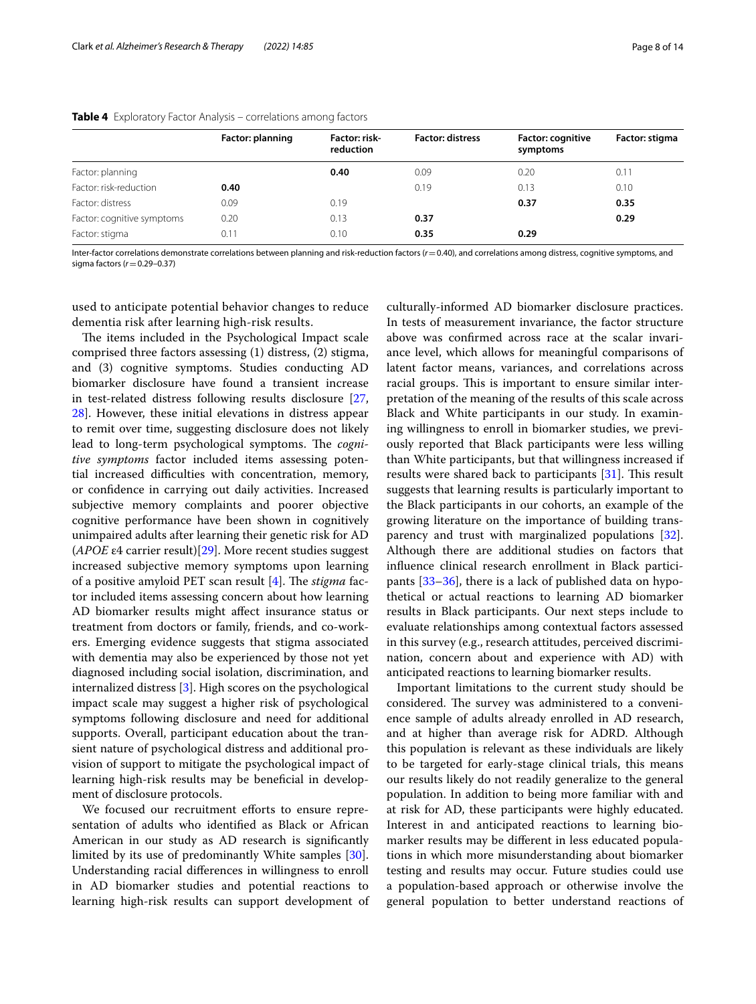|                            | Factor: planning | Factor: risk-<br>reduction | <b>Factor: distress</b> | <b>Factor: cognitive</b><br>symptoms | Factor: stigma |
|----------------------------|------------------|----------------------------|-------------------------|--------------------------------------|----------------|
| Factor: planning           |                  | 0.40                       | 0.09                    | 0.20                                 | 0.11           |
| Factor: risk-reduction     | 0.40             |                            | 0.19                    | 0.13                                 | 0.10           |
| Factor: distress           | 0.09             | 0.19                       |                         | 0.37                                 | 0.35           |
| Factor: cognitive symptoms | 0.20             | 0.13                       | 0.37                    |                                      | 0.29           |
| Factor: stigma             | 0.11             | 0.10                       | 0.35                    | 0.29                                 |                |

### <span id="page-7-0"></span>**Table 4** Exploratory Factor Analysis – correlations among factors

Inter-factor correlations demonstrate correlations between planning and risk-reduction factors (*r*=0.40), and correlations among distress, cognitive symptoms, and sigma factors ( $r$  = 0.29-0.37)

used to anticipate potential behavior changes to reduce dementia risk after learning high-risk results.

The items included in the Psychological Impact scale comprised three factors assessing (1) distress, (2) stigma, and (3) cognitive symptoms. Studies conducting AD biomarker disclosure have found a transient increase in test-related distress following results disclosure [\[27](#page-13-8), [28\]](#page-13-9). However, these initial elevations in distress appear to remit over time, suggesting disclosure does not likely lead to long-term psychological symptoms. The *cognitive symptoms* factor included items assessing potential increased difficulties with concentration, memory, or confdence in carrying out daily activities. Increased subjective memory complaints and poorer objective cognitive performance have been shown in cognitively unimpaired adults after learning their genetic risk for AD (*APOE* ε4 carrier result)[[29\]](#page-13-10). More recent studies suggest increased subjective memory symptoms upon learning of a positive amyloid PET scan result [[4](#page-12-3)]. The *stigma* factor included items assessing concern about how learning AD biomarker results might afect insurance status or treatment from doctors or family, friends, and co-workers. Emerging evidence suggests that stigma associated with dementia may also be experienced by those not yet diagnosed including social isolation, discrimination, and internalized distress [\[3](#page-12-2)]. High scores on the psychological impact scale may suggest a higher risk of psychological symptoms following disclosure and need for additional supports. Overall, participant education about the transient nature of psychological distress and additional provision of support to mitigate the psychological impact of learning high-risk results may be benefcial in development of disclosure protocols.

We focused our recruitment efforts to ensure representation of adults who identifed as Black or African American in our study as AD research is signifcantly limited by its use of predominantly White samples [\[30](#page-13-11)]. Understanding racial diferences in willingness to enroll in AD biomarker studies and potential reactions to learning high-risk results can support development of

culturally-informed AD biomarker disclosure practices. In tests of measurement invariance, the factor structure above was confrmed across race at the scalar invariance level, which allows for meaningful comparisons of latent factor means, variances, and correlations across racial groups. This is important to ensure similar interpretation of the meaning of the results of this scale across Black and White participants in our study. In examining willingness to enroll in biomarker studies, we previously reported that Black participants were less willing than White participants, but that willingness increased if results were shared back to participants  $[31]$  $[31]$  $[31]$ . This result suggests that learning results is particularly important to the Black participants in our cohorts, an example of the growing literature on the importance of building transparency and trust with marginalized populations [\[32](#page-13-13)]. Although there are additional studies on factors that infuence clinical research enrollment in Black participants [\[33–](#page-13-14)[36\]](#page-13-15), there is a lack of published data on hypothetical or actual reactions to learning AD biomarker results in Black participants. Our next steps include to evaluate relationships among contextual factors assessed in this survey (e.g., research attitudes, perceived discrimination, concern about and experience with AD) with anticipated reactions to learning biomarker results.

Important limitations to the current study should be considered. The survey was administered to a convenience sample of adults already enrolled in AD research, and at higher than average risk for ADRD. Although this population is relevant as these individuals are likely to be targeted for early-stage clinical trials, this means our results likely do not readily generalize to the general population. In addition to being more familiar with and at risk for AD, these participants were highly educated. Interest in and anticipated reactions to learning biomarker results may be diferent in less educated populations in which more misunderstanding about biomarker testing and results may occur. Future studies could use a population-based approach or otherwise involve the general population to better understand reactions of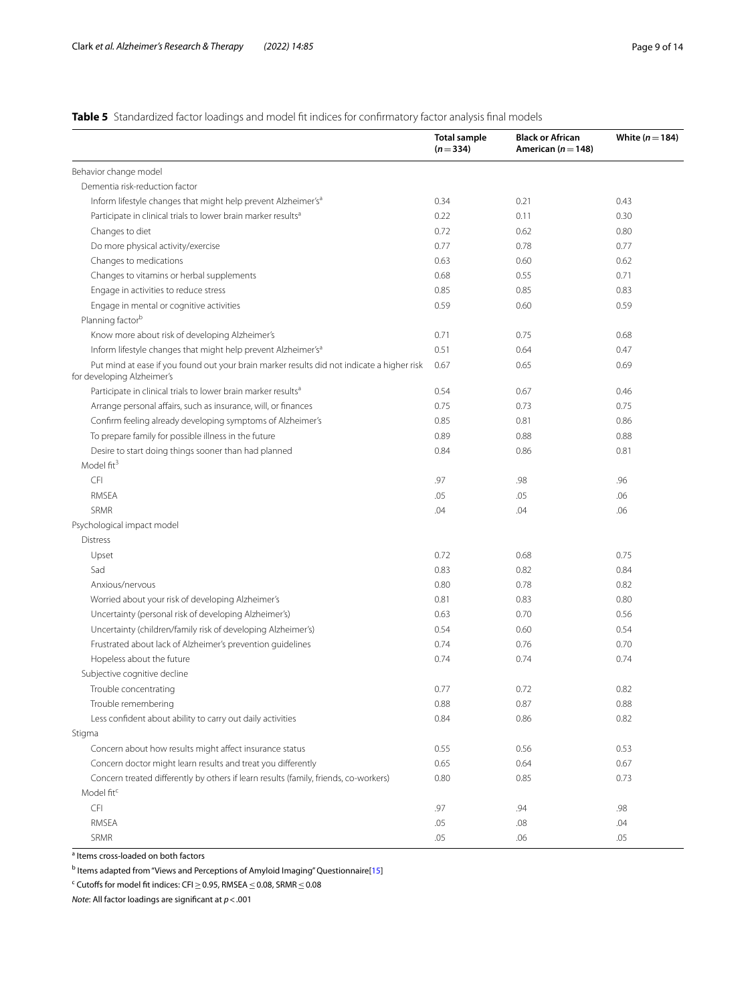### <span id="page-8-0"></span>**Table 5** Standardized factor loadings and model fit indices for confirmatory factor analysis final models

|                                                                                                                          | <b>Total sample</b><br>$(n=334)$ | <b>Black or African</b><br>American ( $n = 148$ ) | White $(n=184)$ |
|--------------------------------------------------------------------------------------------------------------------------|----------------------------------|---------------------------------------------------|-----------------|
| Behavior change model                                                                                                    |                                  |                                                   |                 |
| Dementia risk-reduction factor                                                                                           |                                  |                                                   |                 |
| Inform lifestyle changes that might help prevent Alzheimer's <sup>a</sup>                                                | 0.34                             | 0.21                                              | 0.43            |
| Participate in clinical trials to lower brain marker results <sup>a</sup>                                                | 0.22                             | 0.11                                              | 0.30            |
| Changes to diet                                                                                                          | 0.72                             | 0.62                                              | 0.80            |
| Do more physical activity/exercise                                                                                       | 0.77                             | 0.78                                              | 0.77            |
| Changes to medications                                                                                                   | 0.63                             | 0.60                                              | 0.62            |
| Changes to vitamins or herbal supplements                                                                                | 0.68                             | 0.55                                              | 0.71            |
| Engage in activities to reduce stress                                                                                    | 0.85                             | 0.85                                              | 0.83            |
| Engage in mental or cognitive activities                                                                                 | 0.59                             | 0.60                                              | 0.59            |
| Planning factor <sup>b</sup>                                                                                             |                                  |                                                   |                 |
| Know more about risk of developing Alzheimer's                                                                           | 0.71                             | 0.75                                              | 0.68            |
| Inform lifestyle changes that might help prevent Alzheimer's <sup>a</sup>                                                | 0.51                             | 0.64                                              | 0.47            |
| Put mind at ease if you found out your brain marker results did not indicate a higher risk<br>for developing Alzheimer's | 0.67                             | 0.65                                              | 0.69            |
| Participate in clinical trials to lower brain marker results <sup>a</sup>                                                | 0.54                             | 0.67                                              | 0.46            |
| Arrange personal affairs, such as insurance, will, or finances                                                           | 0.75                             | 0.73                                              | 0.75            |
| Confirm feeling already developing symptoms of Alzheimer's                                                               | 0.85                             | 0.81                                              | 0.86            |
| To prepare family for possible illness in the future                                                                     | 0.89                             | 0.88                                              | 0.88            |
| Desire to start doing things sooner than had planned                                                                     | 0.84                             | 0.86                                              | 0.81            |
| Model fit <sup>3</sup>                                                                                                   |                                  |                                                   |                 |
| <b>CFI</b>                                                                                                               | .97                              | .98                                               | .96             |
| <b>RMSEA</b>                                                                                                             | .05                              | .05                                               | .06             |
| SRMR                                                                                                                     | .04                              | .04                                               | .06             |
| Psychological impact model                                                                                               |                                  |                                                   |                 |
| <b>Distress</b>                                                                                                          |                                  |                                                   |                 |
| Upset                                                                                                                    | 0.72                             | 0.68                                              | 0.75            |
| Sad                                                                                                                      | 0.83                             | 0.82                                              | 0.84            |
| Anxious/nervous                                                                                                          | 0.80                             | 0.78                                              | 0.82            |
| Worried about your risk of developing Alzheimer's                                                                        | 0.81                             | 0.83                                              | 0.80            |
| Uncertainty (personal risk of developing Alzheimer's)                                                                    | 0.63                             | 0.70                                              | 0.56            |
| Uncertainty (children/family risk of developing Alzheimer's)                                                             | 0.54                             | 0.60                                              | 0.54            |
| Frustrated about lack of Alzheimer's prevention guidelines                                                               | 0.74                             | 0.76                                              | 0.70            |
| Hopeless about the future                                                                                                | 0.74                             | 0.74                                              | 0.74            |
| Subjective cognitive decline                                                                                             |                                  |                                                   |                 |
| Trouble concentrating                                                                                                    | 0.77                             | 0.72                                              | 0.82            |
| Trouble remembering                                                                                                      | 0.88                             | 0.87                                              | 0.88            |
| Less confident about ability to carry out daily activities                                                               | 0.84                             | 0.86                                              | 0.82            |
| Stigma                                                                                                                   |                                  |                                                   |                 |
| Concern about how results might affect insurance status                                                                  | 0.55                             | 0.56                                              | 0.53            |
| Concern doctor might learn results and treat you differently                                                             | 0.65                             | 0.64                                              | 0.67            |
| Concern treated differently by others if learn results (family, friends, co-workers)                                     | 0.80                             | 0.85                                              | 0.73            |
| Model fit <sup>c</sup>                                                                                                   |                                  |                                                   |                 |
| <b>CFI</b>                                                                                                               | .97                              | .94                                               | .98             |
| RMSEA                                                                                                                    | .05                              | .08                                               | .04             |
| SRMR                                                                                                                     | .05                              | .06                                               | .05             |

<sup>a</sup> Items cross-loaded on both factors

<sup>b</sup> Items adapted from "Views and Perceptions of Amyloid Imaging" Questionnaire[[15\]](#page-12-14)

<sup>c</sup> Cutoffs for model fit indices: CFI  $\geq$  0.95, RMSEA  $\leq$  0.08, SRMR  $\leq$  0.08

*Note*: All factor loadings are signifcant at *p*<.001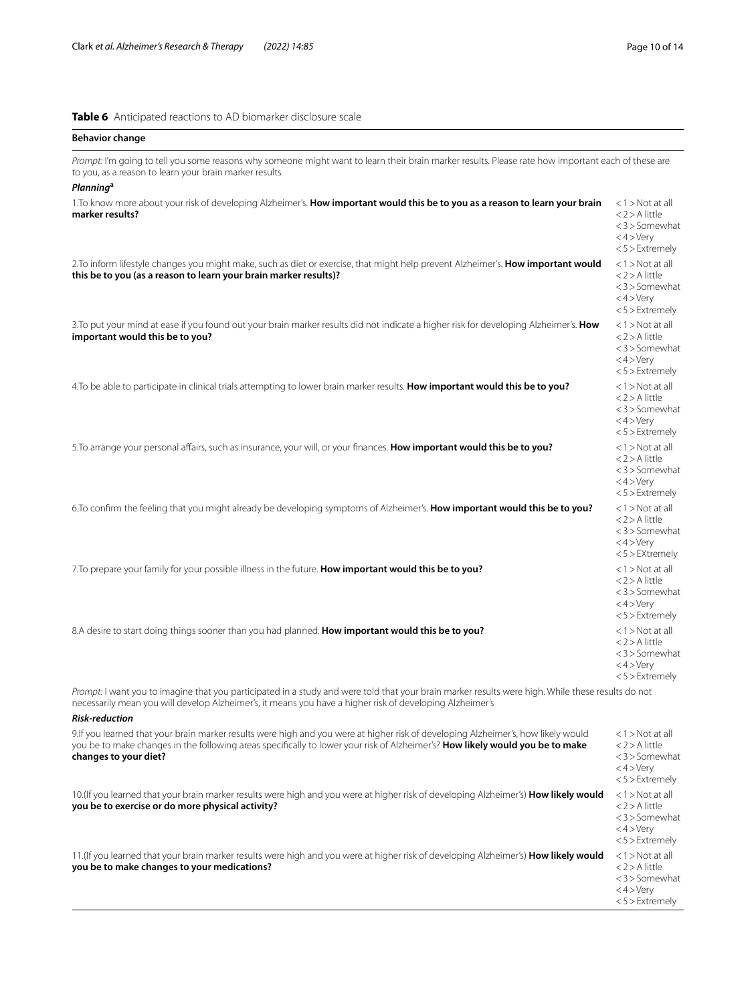### <span id="page-9-0"></span>**Table 6** Anticipated reactions to AD biomarker disclosure scale

| <b>Behavior change</b>                                                                                                                                                                                                                                                                      |                                                                                                |
|---------------------------------------------------------------------------------------------------------------------------------------------------------------------------------------------------------------------------------------------------------------------------------------------|------------------------------------------------------------------------------------------------|
| Prompt: I'm going to tell you some reasons why someone might want to learn their brain marker results. Please rate how important each of these are<br>to you, as a reason to learn your brain marker results<br><b>Planning<sup>a</sup></b>                                                 |                                                                                                |
| 1. To know more about your risk of developing Alzheimer's. How important would this be to you as a reason to learn your brain<br>marker results?                                                                                                                                            | $<$ 1 > Not at all<br><2>A little<br><3>Somewhat<br>$<$ 4 > Very<br>$<$ 5 $>$ Extremely        |
| 2. To inform lifestyle changes you might make, such as diet or exercise, that might help prevent Alzheimer's. How important would<br>this be to you (as a reason to learn your brain marker results)?                                                                                       | $<$ 1 > Not at all<br><2>A little<br>$<$ 3 $>$ Somewhat<br>$<$ 4 > Very<br>$<$ 5 $>$ Extremely |
| 3. To put your mind at ease if you found out your brain marker results did not indicate a higher risk for developing Alzheimer's. How<br>important would this be to you?                                                                                                                    | $<$ 1 > Not at all<br><2>A little<br><3>Somewhat<br>$<$ 4 > Very<br>$<$ 5 $>$ Extremely        |
| 4. To be able to participate in clinical trials attempting to lower brain marker results. How important would this be to you?                                                                                                                                                               | $<$ 1 $>$ Not at all<br><2>A little<br><3>Somewhat<br>$<$ 4 > Very<br>$<$ 5 $>$ Extremely      |
| 5. To arrange your personal affairs, such as insurance, your will, or your finances. How important would this be to you?                                                                                                                                                                    | $<$ 1 > Not at all<br><2>A little<br><3>Somewhat<br>$<$ 4 > Very<br>$<$ 5 $>$ Extremely        |
| 6. To confirm the feeling that you might already be developing symptoms of Alzheimer's. How important would this be to you?                                                                                                                                                                 | $<$ 1 > Not at all<br><2>A little<br><3>Somewhat<br>$<$ 4 > Very<br>$<$ 5 $>$ EXtremely        |
| 7. To prepare your family for your possible illness in the future. How important would this be to you?                                                                                                                                                                                      | $<$ 1 > Not at all<br>$<$ 2 > A little<br><3>Somewhat<br>$<$ 4 > Very<br>$<$ 5 $>$ Extremely   |
| 8.A desire to start doing things sooner than you had planned. How important would this be to you?                                                                                                                                                                                           | $<$ 1 > Not at all<br>$<$ 2 $>$ A little<br><3>Somewhat<br>$<$ 4 > Very<br>$<$ 5 $>$ Extremely |
| Prompt: I want you to imagine that you participated in a study and were told that your brain marker results were high. While these results do not<br>necessarily mean you will develop Alzheimer's, it means you have a higher risk of developing Alzheimer's<br><b>Risk-reduction</b>      |                                                                                                |
| 9.If you learned that your brain marker results were high and you were at higher risk of developing Alzheimer's, how likely would<br>you be to make changes in the following areas specifically to lower your risk of Alzheimer's? How likely would you be to make<br>changes to your diet? | $<$ 1 > Not at all<br><2>A little<br><3>Somewhat<br>$<$ 4 > Very<br>$<$ 5 $>$ Extremely        |
| 10. (If you learned that your brain marker results were high and you were at higher risk of developing Alzheimer's) How likely would<br>you be to exercise or do more physical activity?                                                                                                    | $<$ 1 > Not at all<br>$<$ 2 $>$ A little<br><3>Somewhat<br>$<$ 4 > Very<br>$<$ 5 $>$ Extremely |
| 11. (If you learned that your brain marker results were high and you were at higher risk of developing Alzheimer's) How likely would<br>you be to make changes to your medications?                                                                                                         | $<$ 1 > Not at all<br>$<$ 2 $>$ A little<br><3>Somewhat<br>$<$ 4 > Very<br><5 > Extremely      |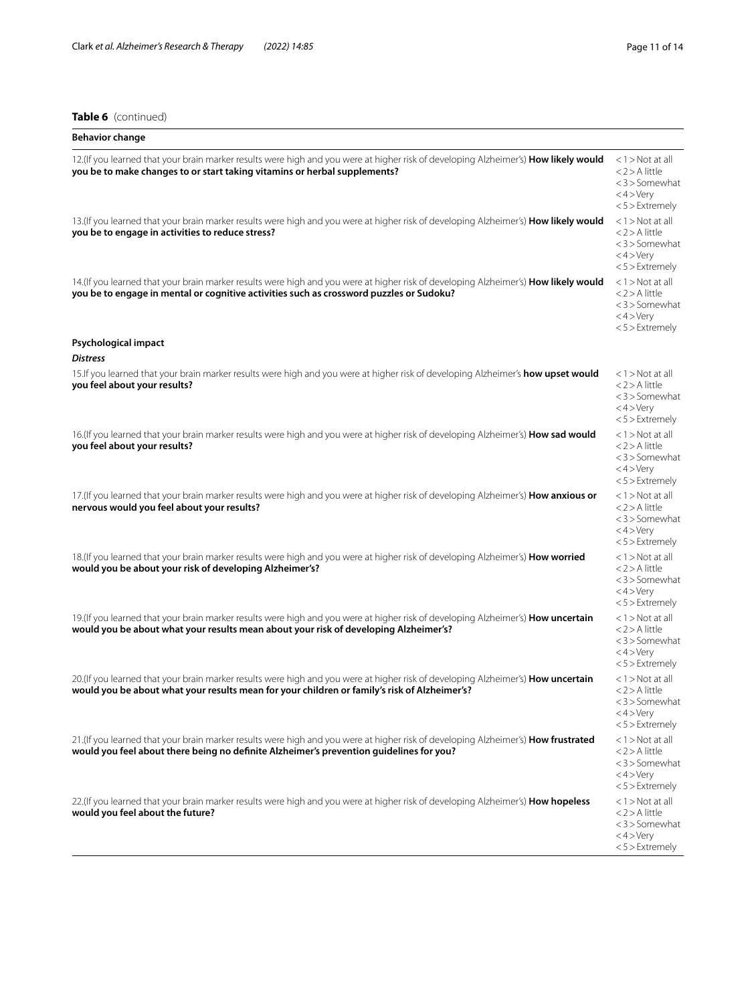### **Table 6** (continued)

| <b>Behavior change</b>                                                                                                                                                                                                            |                                                                                           |
|-----------------------------------------------------------------------------------------------------------------------------------------------------------------------------------------------------------------------------------|-------------------------------------------------------------------------------------------|
| 12. (If you learned that your brain marker results were high and you were at higher risk of developing Alzheimer's) How likely would<br>you be to make changes to or start taking vitamins or herbal supplements?                 | $<$ 1 > Not at all<br><2>A little<br><3>Somewhat<br>$<$ 4 $>$ Very<br>$<$ 5 $>$ Extremely |
| 13. (If you learned that your brain marker results were high and you were at higher risk of developing Alzheimer's) How likely would<br>you be to engage in activities to reduce stress?                                          | $<$ 1 > Not at all<br><2>A little<br><3>Somewhat<br>$<$ 4 > Very<br>$< 5$ > Extremely     |
| 14. (If you learned that your brain marker results were high and you were at higher risk of developing Alzheimer's) How likely would<br>you be to engage in mental or cognitive activities such as crossword puzzles or Sudoku?   | $<$ 1 > Not at all<br><2>A little<br><3>Somewhat<br>$<$ 4 > Very<br>$<$ 5 $>$ Extremely   |
| Psychological impact<br><b>Distress</b>                                                                                                                                                                                           |                                                                                           |
| 15. If you learned that your brain marker results were high and you were at higher risk of developing Alzheimer's how upset would<br>you feel about your results?                                                                 | <1 > Not at all<br><2>A little<br><3>Somewhat<br>$<$ 4 > Very<br>$<$ 5 $>$ Extremely      |
| 16. (If you learned that your brain marker results were high and you were at higher risk of developing Alzheimer's) How sad would<br>you feel about your results?                                                                 | <1 > Not at all<br><2>A little<br><3>Somewhat<br>$<$ 4 $>$ Very<br><5>Extremely           |
| 17. (If you learned that your brain marker results were high and you were at higher risk of developing Alzheimer's) How anxious or<br>nervous would you feel about your results?                                                  | <1 > Not at all<br><2>A little<br><3>Somewhat<br>$<$ 4 $>$ Very<br><5>Extremely           |
| 18.(If you learned that your brain marker results were high and you were at higher risk of developing Alzheimer's) How worried<br>would you be about your risk of developing Alzheimer's?                                         | <1 > Not at all<br><2>A little<br><3>Somewhat<br>$<$ 4 $>$ Very<br><5>Extremely           |
| 19.(If you learned that your brain marker results were high and you were at higher risk of developing Alzheimer's) How uncertain<br>would you be about what your results mean about your risk of developing Alzheimer's?          | <1 > Not at all<br><2>A little<br><3>Somewhat<br>$<$ 4 > Very<br><5>Extremely             |
| 20. (If you learned that your brain marker results were high and you were at higher risk of developing Alzheimer's) How uncertain<br>would you be about what your results mean for your children or family's risk of Alzheimer's? | <1 > Not at all<br><2>A little<br><3>Somewhat<br><4>Very<br><5>Extremely                  |
| 21.(If you learned that your brain marker results were high and you were at higher risk of developing Alzheimer's) How frustrated<br>would you feel about there being no definite Alzheimer's prevention quidelines for you?      | <1 > Not at all<br>< 2 > A little<br><3>Somewhat<br>$<$ 4 > Very<br>$<$ 5 $>$ Extremely   |
| 22.(If you learned that your brain marker results were high and you were at higher risk of developing Alzheimer's) How hopeless<br>would you feel about the future?                                                               | <1 > Not at all<br><2>A little<br><3>Somewhat<br>$<$ 4 > Very<br><5 > Extremely           |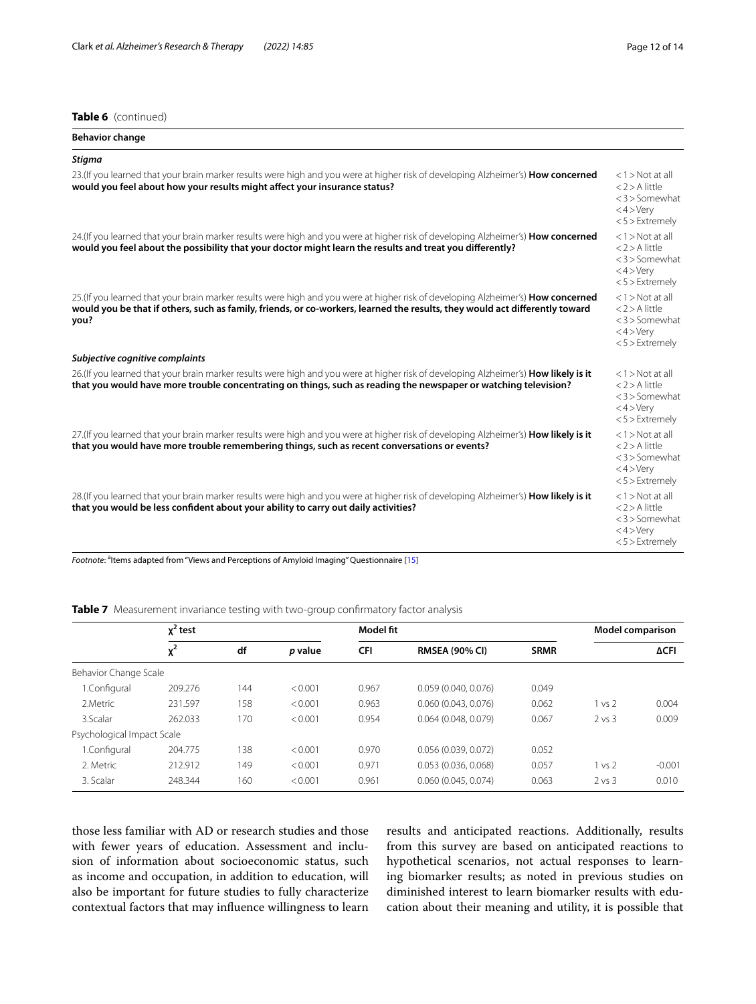### **Table 6** (continued)

| <b>Behavior change</b>                                                                                                                                                                                                                                                   |                                                                                                       |
|--------------------------------------------------------------------------------------------------------------------------------------------------------------------------------------------------------------------------------------------------------------------------|-------------------------------------------------------------------------------------------------------|
| <b>Stigma</b>                                                                                                                                                                                                                                                            |                                                                                                       |
| 23. (If you learned that your brain marker results were high and you were at higher risk of developing Alzheimer's) How concerned<br>would you feel about how your results might affect your insurance status?                                                           | $<$ 1 > Not at all<br>$<$ 2 $>$ A little<br>$<$ 3 $>$ Somewhat<br>$<$ 4 > Very<br>$<$ 5 $>$ Extremely |
| 24. (If you learned that your brain marker results were high and you were at higher risk of developing Alzheimer's) How concerned<br>would you feel about the possibility that your doctor might learn the results and treat you differently?                            | $<$ 1 > Not at all<br>$<$ 2 > A little<br>$<$ 3 $>$ Somewhat<br>$<$ 4 > Very<br>$<$ 5 $>$ Extremely   |
| 25. (If you learned that your brain marker results were high and you were at higher risk of developing Alzheimer's) How concerned<br>would you be that if others, such as family, friends, or co-workers, learned the results, they would act differently toward<br>you? | $<$ 1 > Not at all<br>$<$ 2 > A little<br>$<$ 3 $>$ Somewhat<br>$<$ 4 > Very<br>$< 5$ > Extremely     |
| Subjective cognitive complaints                                                                                                                                                                                                                                          |                                                                                                       |
| 26. (If you learned that your brain marker results were high and you were at higher risk of developing Alzheimer's) How likely is it<br>that you would have more trouble concentrating on things, such as reading the newspaper or watching television?                  | $<$ 1 > Not at all<br>$<$ 2 $>$ A little<br>$<$ 3 $>$ Somewhat<br>$<$ 4 > Very<br>$< 5$ > Extremely   |
| 27. (If you learned that your brain marker results were high and you were at higher risk of developing Alzheimer's) How likely is it<br>that you would have more trouble remembering things, such as recent conversations or events?                                     | $<$ 1 > Not at all<br>$<$ 2 > A little<br>$<$ 3 $>$ Somewhat<br>$<$ 4 > Very<br>$< 5$ > Extremely     |
| 28. (If you learned that your brain marker results were high and you were at higher risk of developing Alzheimer's) How likely is it<br>that you would be less confident about your ability to carry out daily activities?                                               | $<$ 1 $>$ Not at all<br>$<$ 2 > A little<br>$<$ 3 $>$ Somewhat<br>$<$ 4 > Very<br>$<$ 5 $>$ Extremely |
| التهار ويتحدث من المستخدمات التي يتم المناسبة التي تحدث من المستخدمات المستخدمات المستخدمات ومستخدمات المستخدمات                                                                                                                                                         |                                                                                                       |

Footnote: <sup>a</sup>ltems adapted from "Views and Perceptions of Amyloid Imaging" Questionnaire [[15\]](#page-12-14)

### <span id="page-11-0"></span>**Table 7** Measurement invariance testing with two-group confirmatory factor analysis

|                            | $\chi^2$ test |     |         | Model fit  |                       |             |            | <b>Model comparison</b> |
|----------------------------|---------------|-----|---------|------------|-----------------------|-------------|------------|-------------------------|
|                            | $x^2$         | df  | p value | <b>CFI</b> | <b>RMSEA (90% CI)</b> | <b>SRMR</b> |            | <b>ΔCFI</b>             |
| Behavior Change Scale      |               |     |         |            |                       |             |            |                         |
| 1.Configural               | 209.276       | 144 | < 0.001 | 0.967      | 0.059(0.040, 0.076)   | 0.049       |            |                         |
| 2.Metric                   | 231.597       | 158 | < 0.001 | 0.963      | 0.060(0.043, 0.076)   | 0.062       | 1 vs 2     | 0.004                   |
| 3.Scalar                   | 262.033       | 170 | < 0.001 | 0.954      | 0.064(0.048, 0.079)   | 0.067       | $2$ vs $3$ | 0.009                   |
| Psychological Impact Scale |               |     |         |            |                       |             |            |                         |
| 1.Configural               | 204.775       | 138 | < 0.001 | 0.970      | 0.056(0.039, 0.072)   | 0.052       |            |                         |
| 2. Metric                  | 212.912       | 149 | < 0.001 | 0.971      | 0.053(0.036, 0.068)   | 0.057       | 1 vs 2     | $-0.001$                |
| 3. Scalar                  | 248.344       | 160 | < 0.001 | 0.961      | 0.060(0.045, 0.074)   | 0.063       | $2$ vs $3$ | 0.010                   |

those less familiar with AD or research studies and those with fewer years of education. Assessment and inclusion of information about socioeconomic status, such as income and occupation, in addition to education, will also be important for future studies to fully characterize contextual factors that may infuence willingness to learn

results and anticipated reactions. Additionally, results from this survey are based on anticipated reactions to hypothetical scenarios, not actual responses to learning biomarker results; as noted in previous studies on diminished interest to learn biomarker results with education about their meaning and utility, it is possible that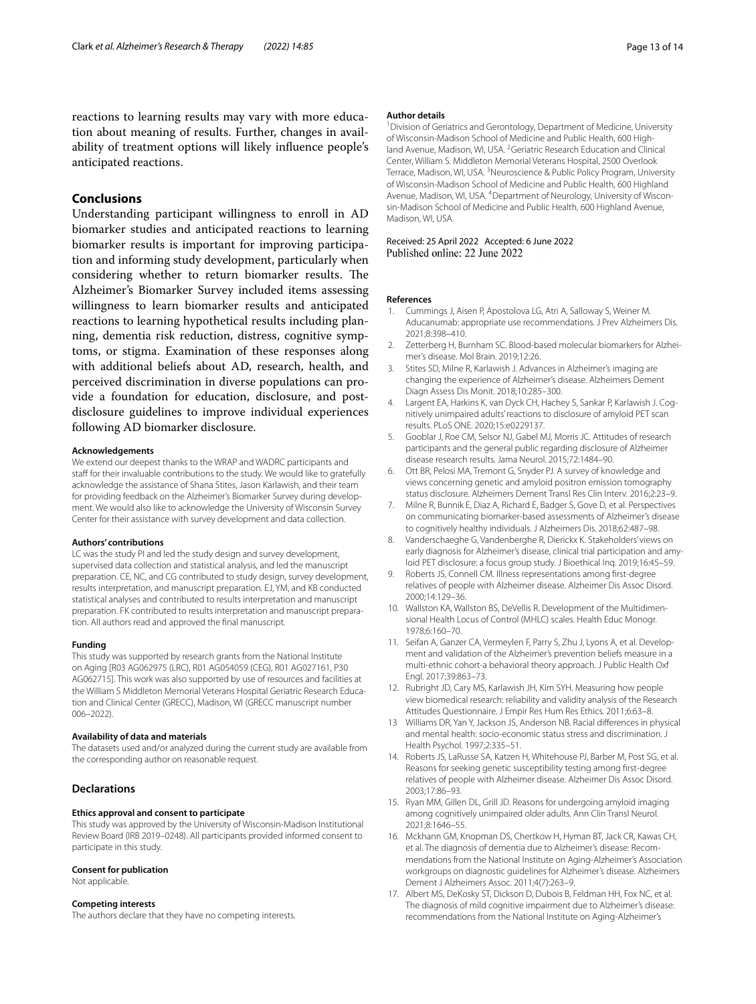### **Conclusions**

Understanding participant willingness to enroll in AD biomarker studies and anticipated reactions to learning biomarker results is important for improving participation and informing study development, particularly when considering whether to return biomarker results. The Alzheimer's Biomarker Survey included items assessing willingness to learn biomarker results and anticipated reactions to learning hypothetical results including planning, dementia risk reduction, distress, cognitive symptoms, or stigma. Examination of these responses along with additional beliefs about AD, research, health, and perceived discrimination in diverse populations can provide a foundation for education, disclosure, and postdisclosure guidelines to improve individual experiences following AD biomarker disclosure.

#### **Acknowledgements**

We extend our deepest thanks to the WRAP and WADRC participants and staff for their invaluable contributions to the study. We would like to gratefully acknowledge the assistance of Shana Stites, Jason Karlawish, and their team for providing feedback on the Alzheimer's Biomarker Survey during development. We would also like to acknowledge the University of Wisconsin Survey Center for their assistance with survey development and data collection.

#### **Authors' contributions**

LC was the study PI and led the study design and survey development, supervised data collection and statistical analysis, and led the manuscript preparation. CE, NC, and CG contributed to study design, survey development, results interpretation, and manuscript preparation. EJ, YM, and KB conducted statistical analyses and contributed to results interpretation and manuscript preparation. FK contributed to results interpretation and manuscript preparation. All authors read and approved the fnal manuscript.

#### **Funding**

This study was supported by research grants from the National Institute on Aging [R03 AG062975 (LRC), R01 AG054059 (CEG), R01 AG027161, P30 AG062715]. This work was also supported by use of resources and facilities at the William S Middleton Memorial Veterans Hospital Geriatric Research Education and Clinical Center (GRECC), Madison, WI (GRECC manuscript number 006–2022).

#### **Availability of data and materials**

The datasets used and/or analyzed during the current study are available from the corresponding author on reasonable request.

### **Declarations**

### **Ethics approval and consent to participate**

This study was approved by the University of Wisconsin-Madison Institutional Review Board (IRB 2019–0248). All participants provided informed consent to participate in this study.

#### **Consent for publication**

Not applicable.

### **Competing interests**

The authors declare that they have no competing interests.

#### **Author details**

<sup>1</sup> Division of Geriatrics and Gerontology, Department of Medicine, University of Wisconsin-Madison School of Medicine and Public Health, 600 Highland Avenue, Madison, WI, USA. <sup>2</sup> Geriatric Research Education and Clinical Center, William S. Middleton Memorial Veterans Hospital, 2500 Overlook Terrace, Madison, WI, USA.<sup>3</sup> Neuroscience & Public Policy Program, University of Wisconsin-Madison School of Medicine and Public Health, 600 Highland Avenue, Madison, WI, USA. <sup>4</sup> Department of Neurology, University of Wisconsin-Madison School of Medicine and Public Health, 600 Highland Avenue, Madison, WI, USA.

## Received: 25 April 2022 Accepted: 6 June 2022<br>Published online: 22 June 2022

#### **References**

- <span id="page-12-0"></span>1. Cummings J, Aisen P, Apostolova LG, Atri A, Salloway S, Weiner M. Aducanumab: appropriate use recommendations. J Prev Alzheimers Dis. 2021;8:398–410.
- <span id="page-12-1"></span>2. Zetterberg H, Burnham SC. Blood-based molecular biomarkers for Alzheimer's disease. Mol Brain. 2019;12:26.
- <span id="page-12-2"></span>Stites SD, Milne R, Karlawish J. Advances in Alzheimer's imaging are changing the experience of Alzheimer's disease. Alzheimers Dement Diagn Assess Dis Monit. 2018;10:285–300.
- <span id="page-12-3"></span>4. Largent EA, Harkins K, van Dyck CH, Hachey S, Sankar P, Karlawish J. Cognitively unimpaired adults' reactions to disclosure of amyloid PET scan results. PLoS ONE. 2020;15:e0229137.
- <span id="page-12-4"></span>5. Gooblar J, Roe CM, Selsor NJ, Gabel MJ, Morris JC. Attitudes of research participants and the general public regarding disclosure of Alzheimer disease research results. Jama Neurol. 2015;72:1484–90.
- <span id="page-12-5"></span>6. Ott BR, Pelosi MA, Tremont G, Snyder PJ. A survey of knowledge and views concerning genetic and amyloid positron emission tomography status disclosure. Alzheimers Dement Transl Res Clin Interv. 2016;2:23–9.
- <span id="page-12-6"></span>7. Milne R, Bunnik E, Diaz A, Richard E, Badger S, Gove D, et al. Perspectives on communicating biomarker-based assessments of Alzheimer's disease to cognitively healthy individuals. J Alzheimers Dis. 2018;62:487–98.
- <span id="page-12-7"></span>8. Vanderschaeghe G, Vandenberghe R, Dierickx K. Stakeholders' views on early diagnosis for Alzheimer's disease, clinical trial participation and amyloid PET disclosure: a focus group study. J Bioethical Inq. 2019;16:45–59.
- <span id="page-12-8"></span>9. Roberts JS, Connell CM. Illness representations among frst-degree relatives of people with Alzheimer disease. Alzheimer Dis Assoc Disord. 2000;14:129–36.
- <span id="page-12-9"></span>10. Wallston KA, Wallston BS, DeVellis R. Development of the Multidimensional Health Locus of Control (MHLC) scales. Health Educ Monogr. 1978;6:160–70.
- <span id="page-12-10"></span>11. Seifan A, Ganzer CA, Vermeylen F, Parry S, Zhu J, Lyons A, et al. Development and validation of the Alzheimer's prevention beliefs measure in a multi-ethnic cohort-a behavioral theory approach. J Public Health Oxf Engl. 2017;39:863–73.
- <span id="page-12-11"></span>12. Rubright JD, Cary MS, Karlawish JH, Kim SYH. Measuring how people view biomedical research: reliability and validity analysis of the Research Attitudes Questionnaire. J Empir Res Hum Res Ethics. 2011;6:63–8.
- <span id="page-12-12"></span>13 Williams DR, Yan Y, Jackson JS, Anderson NB. Racial diferences in physical and mental health: socio-economic status stress and discrimination. J Health Psychol. 1997;2:335–51.
- <span id="page-12-13"></span>14. Roberts JS, LaRusse SA, Katzen H, Whitehouse PJ, Barber M, Post SG, et al. Reasons for seeking genetic susceptibility testing among frst-degree relatives of people with Alzheimer disease. Alzheimer Dis Assoc Disord. 2003;17:86–93.
- <span id="page-12-14"></span>15. Ryan MM, Gillen DL, Grill JD. Reasons for undergoing amyloid imaging among cognitively unimpaired older adults. Ann Clin Transl Neurol. 2021;8:1646–55.
- <span id="page-12-15"></span>16. Mckhann GM, Knopman DS, Chertkow H, Hyman BT, Jack CR, Kawas CH, et al. The diagnosis of dementia due to Alzheimer's disease: Recommendations from the National Institute on Aging-Alzheimer's Association workgroups on diagnostic guidelines for Alzheimer's disease. Alzheimers Dement J Alzheimers Assoc. 2011;4(7):263–9.
- <span id="page-12-16"></span>17. Albert MS, DeKosky ST, Dickson D, Dubois B, Feldman HH, Fox NC, et al. The diagnosis of mild cognitive impairment due to Alzheimer's disease: recommendations from the National Institute on Aging-Alzheimer's